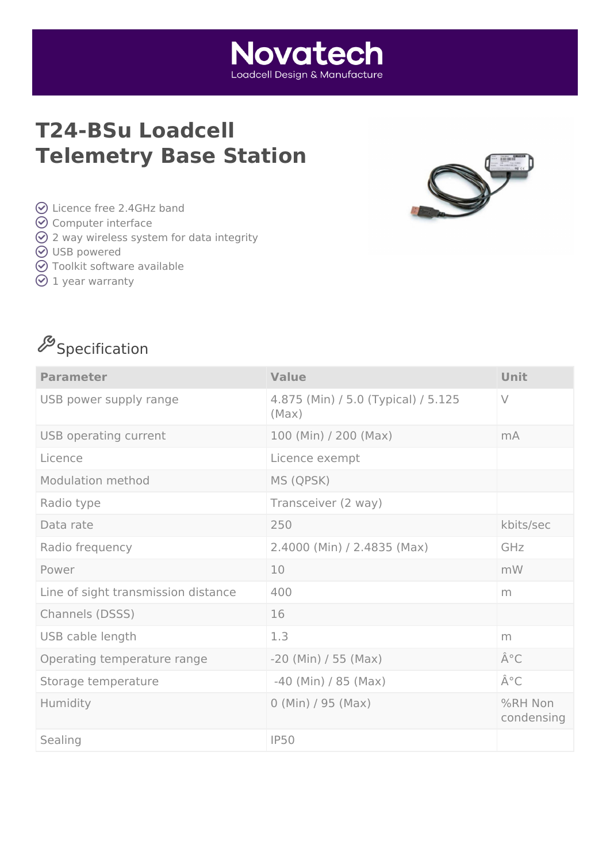# **T24-BSu Loadcell Telemetry Base Station**



- Licence free 2.4GHz band
- **⊙** Computer interface
- $\odot$  2 way wireless system for data integrity
- **⊘** USB powered
- Toolkit software available
- $\odot$  1 year warranty



| <b>Parameter</b>                    | <b>Value</b>                                 | Unit                  |
|-------------------------------------|----------------------------------------------|-----------------------|
| USB power supply range              | 4.875 (Min) / 5.0 (Typical) / 5.125<br>(Max) | $\vee$                |
| USB operating current               | 100 (Min) / 200 (Max)                        | mA                    |
| Licence                             | Licence exempt                               |                       |
| <b>Modulation method</b>            | MS (QPSK)                                    |                       |
| Radio type                          | Transceiver (2 way)                          |                       |
| Data rate                           | 250                                          | kbits/sec             |
| Radio frequency                     | 2.4000 (Min) / 2.4835 (Max)                  | GHz                   |
| Power                               | 10                                           | mW                    |
| Line of sight transmission distance | 400                                          | m                     |
| Channels (DSSS)                     | 16                                           |                       |
| USB cable length                    | 1.3                                          | m                     |
| Operating temperature range         | $-20$ (Min) / 55 (Max)                       | °C                    |
| Storage temperature                 | $-40$ (Min) / 85 (Max)                       | °C                    |
| Humidity                            | $0$ (Min) / 95 (Max)                         | %RH Non<br>condensing |
| Sealing                             | <b>IP50</b>                                  |                       |

**Novatech** Loadcell Desian & Manufacture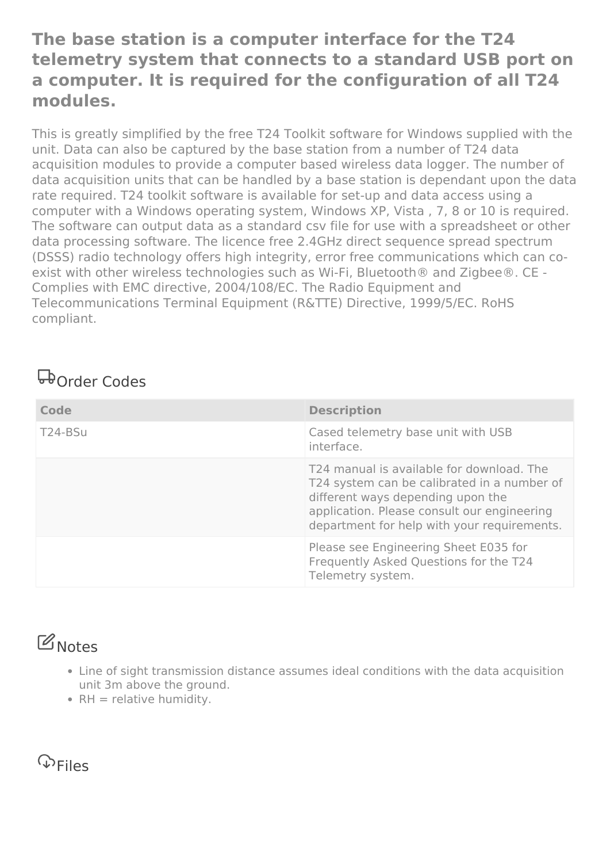#### **The base station is a computer interface for the T24 telemetry system that connects to a standard USB port on a computer. It is required for the configuration of all T24 modules.**

This is greatly simplified by the free T24 Toolkit software for Windows supplied with the unit. Data can also be captured by the base station from a number of T24 data acquisition modules to provide a computer based wireless data logger. The number of data acquisition units that can be handled by a base station is dependant upon the data rate required. T24 toolkit software is available for set-up and data access using a computer with a Windows operating system, Windows XP, Vista , 7, 8 or 10 is required. The software can output data as a standard csv file for use with a spreadsheet or other data processing software. The licence free 2.4GHz direct sequence spread spectrum (DSSS) radio technology offers high integrity, error free communications which can coexist with other wireless technologies such as Wi-Fi, Bluetooth® and Zigbee®. CE - Complies with EMC directive, 2004/108/EC. The Radio Equipment and Telecommunications Terminal Equipment (R&TTE) Directive, 1999/5/EC. RoHS compliant.

## Order Codes

| Code    | <b>Description</b>                                                                                                                                                                                                          |
|---------|-----------------------------------------------------------------------------------------------------------------------------------------------------------------------------------------------------------------------------|
| T24-BSu | Cased telemetry base unit with USB<br>interface.                                                                                                                                                                            |
|         | T24 manual is available for download. The<br>T24 system can be calibrated in a number of<br>different ways depending upon the<br>application. Please consult our engineering<br>department for help with your requirements. |
|         | Please see Engineering Sheet E035 for<br>Frequently Asked Questions for the T24<br>Telemetry system.                                                                                                                        |

### **B** Notes

- Line of sight transmission distance assumes ideal conditions with the data acquisition unit 3m above the ground.
- $\bullet$  RH = relative humidity.

**P**Files